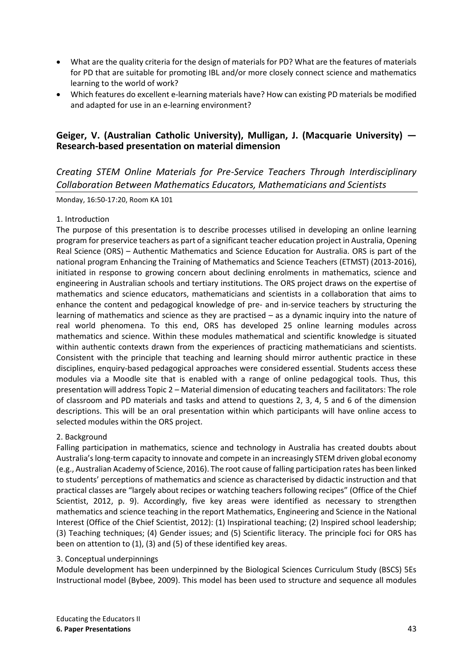- What are the quality criteria for the design of materials for PD? What are the features of materials for PD that are suitable for promoting IBL and/or more closely connect science and mathematics learning to the world of work?
- Which features do excellent e-learning materials have? How can existing PD materials be modified and adapted for use in an e-learning environment?

# **Geiger, V. (Australian Catholic University), Mulligan, J. (Macquarie University) — Research-based presentation on material dimension**

*Creating STEM Online Materials for Pre-Service Teachers Through Interdisciplinary Collaboration Between Mathematics Educators, Mathematicians and Scientists*

Monday, 16:50-17:20, Room KA 101

### 1. Introduction

The purpose of this presentation is to describe processes utilised in developing an online learning program for preservice teachers as part of a significant teacher education project in Australia, Opening Real Science (ORS) – Authentic Mathematics and Science Education for Australia. ORS is part of the national program Enhancing the Training of Mathematics and Science Teachers (ETMST) (2013-2016), initiated in response to growing concern about declining enrolments in mathematics, science and engineering in Australian schools and tertiary institutions. The ORS project draws on the expertise of mathematics and science educators, mathematicians and scientists in a collaboration that aims to enhance the content and pedagogical knowledge of pre- and in-service teachers by structuring the learning of mathematics and science as they are practised – as a dynamic inquiry into the nature of real world phenomena. To this end, ORS has developed 25 online learning modules across mathematics and science. Within these modules mathematical and scientific knowledge is situated within authentic contexts drawn from the experiences of practicing mathematicians and scientists. Consistent with the principle that teaching and learning should mirror authentic practice in these disciplines, enquiry-based pedagogical approaches were considered essential. Students access these modules via a Moodle site that is enabled with a range of online pedagogical tools. Thus, this presentation will address Topic 2 – Material dimension of educating teachers and facilitators: The role of classroom and PD materials and tasks and attend to questions 2, 3, 4, 5 and 6 of the dimension descriptions. This will be an oral presentation within which participants will have online access to selected modules within the ORS project.

## 2. Background

Falling participation in mathematics, science and technology in Australia has created doubts about Australia's long-term capacity to innovate and compete in an increasingly STEM driven global economy (e.g., Australian Academy of Science, 2016). The root cause of falling participation rates has been linked to students' perceptions of mathematics and science as characterised by didactic instruction and that practical classes are "largely about recipes or watching teachers following recipes" (Office of the Chief Scientist, 2012, p. 9). Accordingly, five key areas were identified as necessary to strengthen mathematics and science teaching in the report Mathematics, Engineering and Science in the National Interest (Office of the Chief Scientist, 2012): (1) Inspirational teaching; (2) Inspired school leadership; (3) Teaching techniques; (4) Gender issues; and (5) Scientific literacy. The principle foci for ORS has been on attention to (1), (3) and (5) of these identified key areas.

## 3. Conceptual underpinnings

Module development has been underpinned by the Biological Sciences Curriculum Study (BSCS) 5Es Instructional model (Bybee, 2009). This model has been used to structure and sequence all modules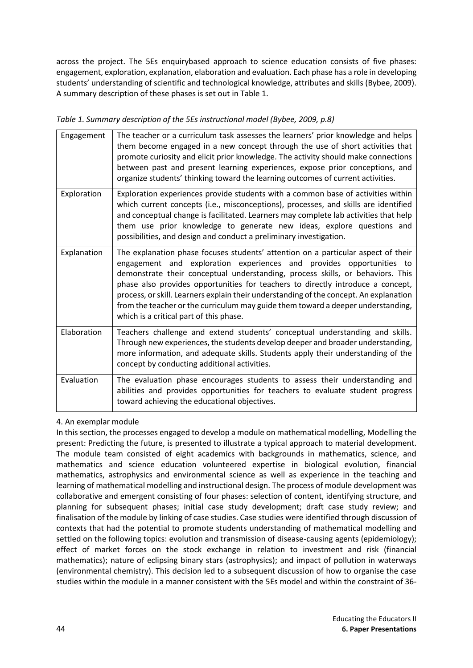across the project. The 5Es enquirybased approach to science education consists of five phases: engagement, exploration, explanation, elaboration and evaluation. Each phase has a role in developing students' understanding of scientific and technological knowledge, attributes and skills (Bybee, 2009). A summary description of these phases is set out in Table 1.

|  |  |  |  | Table 1. Summary description of the 5Es instructional model (Bybee, 2009, p.8) |  |  |  |
|--|--|--|--|--------------------------------------------------------------------------------|--|--|--|
|--|--|--|--|--------------------------------------------------------------------------------|--|--|--|

| Engagement  | The teacher or a curriculum task assesses the learners' prior knowledge and helps<br>them become engaged in a new concept through the use of short activities that<br>promote curiosity and elicit prior knowledge. The activity should make connections<br>between past and present learning experiences, expose prior conceptions, and<br>organize students' thinking toward the learning outcomes of current activities.                                                                                                                             |
|-------------|---------------------------------------------------------------------------------------------------------------------------------------------------------------------------------------------------------------------------------------------------------------------------------------------------------------------------------------------------------------------------------------------------------------------------------------------------------------------------------------------------------------------------------------------------------|
| Exploration | Exploration experiences provide students with a common base of activities within<br>which current concepts (i.e., misconceptions), processes, and skills are identified<br>and conceptual change is facilitated. Learners may complete lab activities that help<br>them use prior knowledge to generate new ideas, explore questions and<br>possibilities, and design and conduct a preliminary investigation.                                                                                                                                          |
| Explanation | The explanation phase focuses students' attention on a particular aspect of their<br>engagement and exploration experiences and provides opportunities to<br>demonstrate their conceptual understanding, process skills, or behaviors. This<br>phase also provides opportunities for teachers to directly introduce a concept,<br>process, or skill. Learners explain their understanding of the concept. An explanation<br>from the teacher or the curriculum may guide them toward a deeper understanding,<br>which is a critical part of this phase. |
| Elaboration | Teachers challenge and extend students' conceptual understanding and skills.<br>Through new experiences, the students develop deeper and broader understanding,<br>more information, and adequate skills. Students apply their understanding of the<br>concept by conducting additional activities.                                                                                                                                                                                                                                                     |
| Evaluation  | The evaluation phase encourages students to assess their understanding and<br>abilities and provides opportunities for teachers to evaluate student progress<br>toward achieving the educational objectives.                                                                                                                                                                                                                                                                                                                                            |

## 4. An exemplar module

In this section, the processes engaged to develop a module on mathematical modelling, Modelling the present: Predicting the future, is presented to illustrate a typical approach to material development. The module team consisted of eight academics with backgrounds in mathematics, science, and mathematics and science education volunteered expertise in biological evolution, financial mathematics, astrophysics and environmental science as well as experience in the teaching and learning of mathematical modelling and instructional design. The process of module development was collaborative and emergent consisting of four phases: selection of content, identifying structure, and planning for subsequent phases; initial case study development; draft case study review; and finalisation of the module by linking of case studies. Case studies were identified through discussion of contexts that had the potential to promote students understanding of mathematical modelling and settled on the following topics: evolution and transmission of disease-causing agents (epidemiology); effect of market forces on the stock exchange in relation to investment and risk (financial mathematics); nature of eclipsing binary stars (astrophysics); and impact of pollution in waterways (environmental chemistry). This decision led to a subsequent discussion of how to organise the case studies within the module in a manner consistent with the 5Es model and within the constraint of 36-